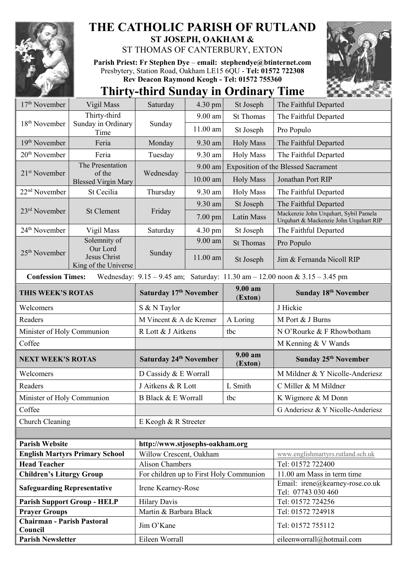

## **THE CATHOLIC PARISH OF RUTLAND ST JOSEPH, OAKHAM &**

ST THOMAS OF CANTERBURY, EXTON

**Parish Priest: Fr Stephen Dye** – **[email: stephendye@btinternet.com](mailto:email:%20%20stephendye@btinternet.com)** Presbytery, Station Road, Oakham LE15 6QU - **Tel: 01572 722308 Rev Deacon Raymond Keogh - Tel: 01572 755360**

## **Thirty-third Sunday in Ordinary Time**

| $17th$ November                              | Vigil Mass                            | Saturday                                | $4.30 \text{ pm}$ | St Joseph          | The Faithful Departed                                                               |
|----------------------------------------------|---------------------------------------|-----------------------------------------|-------------------|--------------------|-------------------------------------------------------------------------------------|
| 18 <sup>th</sup> November                    | Thirty-third                          | Sunday                                  | 9.00 am           | <b>St Thomas</b>   | The Faithful Departed                                                               |
|                                              | Sunday in Ordinary<br>Time            |                                         | 11.00 am          | St Joseph          | Pro Populo                                                                          |
| $19th$ November                              | Feria                                 | Monday                                  | 9.30 am           | <b>Holy Mass</b>   | The Faithful Departed                                                               |
| $20th$ November                              | Feria                                 | Tuesday                                 | 9.30 am           | <b>Holy Mass</b>   | The Faithful Departed                                                               |
| $21st$ November                              | The Presentation                      | Wednesday                               | 9.00 am           |                    | <b>Exposition of the Blessed Sacrament</b>                                          |
|                                              | of the<br><b>Blessed Virgin Mary</b>  |                                         | $10.00$ am        | <b>Holy Mass</b>   | Jonathan Port RIP                                                                   |
| 22 <sup>nd</sup> November                    | St Cecilia                            | Thursday                                | 9.30 am           | <b>Holy Mass</b>   | The Faithful Departed                                                               |
| 23 <sup>rd</sup> November                    | <b>St Clement</b>                     | Friday                                  | 9.30 am           | St Joseph          | The Faithful Departed                                                               |
|                                              |                                       |                                         | $7.00$ pm         | Latin Mass         | Mackenzie John Urquhart, Sybil Pamela<br>Urquhart & Mackenzie John Urquhart RIP     |
| 24 <sup>th</sup> November                    | Vigil Mass                            | Saturday                                | 4.30 pm           | St Joseph          | The Faithful Departed                                                               |
| $25th$ November                              | Solemnity of<br>Our Lord              | Sunday                                  | 9.00 am           | <b>St Thomas</b>   | Pro Populo                                                                          |
|                                              | Jesus Christ<br>King of the Universe  |                                         | 11.00 am          | St Joseph          | Jim & Fernanda Nicoll RIP                                                           |
| <b>Confession Times:</b>                     |                                       |                                         |                   |                    | Wednesday: $9.15 - 9.45$ am; Saturday: $11.30$ am $- 12.00$ noon & $3.15 - 3.45$ pm |
| THIS WEEK'S ROTAS                            |                                       | Saturday 17th November                  |                   | 9.00 am<br>(Exton) | Sunday 18 <sup>th</sup> November                                                    |
| Welcomers                                    |                                       | S & N Taylor                            |                   |                    | J Hickie                                                                            |
| Readers                                      |                                       | M Vincent & A de Kremer                 |                   | A Loring           | M Port & J Burns                                                                    |
| Minister of Holy Communion                   |                                       | R Lott & J Aitkens                      |                   |                    |                                                                                     |
|                                              |                                       |                                         |                   | tbc                | N O'Rourke & F Rhowbotham                                                           |
| Coffee                                       |                                       |                                         |                   |                    | M Kenning & V Wands                                                                 |
| <b>NEXT WEEK'S ROTAS</b>                     |                                       | Saturday 24 <sup>th</sup> November      |                   | 9.00 am<br>(Exton) | Sunday 25 <sup>th</sup> November                                                    |
| Welcomers                                    |                                       | D Cassidy & E Worrall                   |                   |                    | M Mildner & Y Nicolle-Anderiesz                                                     |
| Readers                                      |                                       | J Aitkens & R Lott                      |                   | L Smith            | C Miller & M Mildner                                                                |
| Minister of Holy Communion                   |                                       | <b>B Black &amp; E Worrall</b>          |                   | tbc                | K Wigmore & M Donn                                                                  |
| Coffee                                       |                                       |                                         |                   |                    | G Anderiesz & Y Nicolle-Anderiesz                                                   |
| Church Cleaning                              |                                       | E Keogh & R Streeter                    |                   |                    |                                                                                     |
|                                              |                                       |                                         |                   |                    |                                                                                     |
| <b>Parish Website</b>                        |                                       | http://www.stjosephs-oakham.org         |                   |                    |                                                                                     |
|                                              | <b>English Martyrs Primary School</b> | Willow Crescent, Oakham                 |                   |                    | www.englishmartyrs.rutland.sch.uk                                                   |
| <b>Head Teacher</b>                          |                                       | <b>Alison Chambers</b>                  |                   |                    | Tel: 01572 722400                                                                   |
| <b>Children's Liturgy Group</b>              |                                       | For children up to First Holy Communion |                   |                    | 11.00 am Mass in term time                                                          |
| <b>Safeguarding Representative</b>           |                                       | Irene Kearney-Rose                      |                   |                    | Email: irene@kearney-rose.co.uk<br>Tel: 07743 030 460                               |
|                                              | <b>Parish Support Group - HELP</b>    | <b>Hilary Davis</b>                     |                   |                    | Tel: 01572 724256                                                                   |
| <b>Prayer Groups</b>                         |                                       | Martin & Barbara Black                  |                   |                    | Tel: 01572 724918                                                                   |
| <b>Chairman - Parish Pastoral</b><br>Council |                                       | Jim O'Kane                              |                   |                    | Tel: 01572 755112                                                                   |
| <b>Parish Newsletter</b>                     |                                       | Eileen Worrall                          |                   |                    | eileenworrall@hotmail.com                                                           |